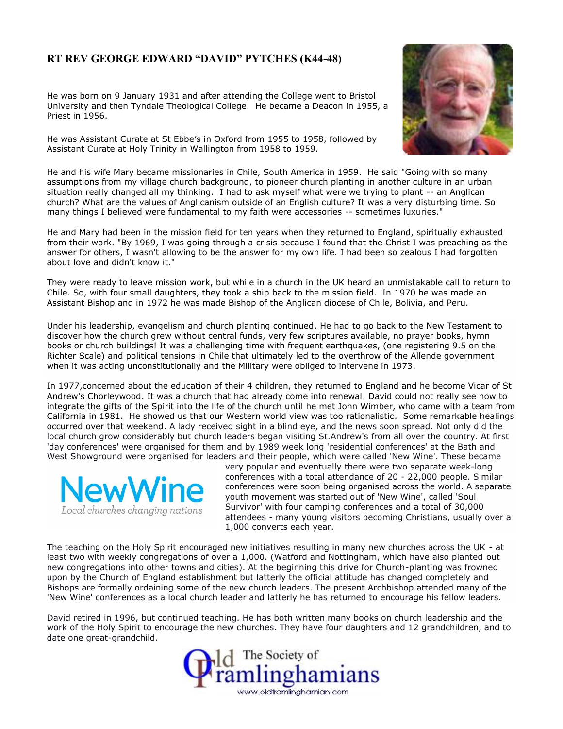## **RT REV GEORGE EDWARD "DAVID" PYTCHES (K44-48)**

He was born on 9 January 1931 and after attending the College went to Bristol University and then Tyndale Theological College. He became a Deacon in 1955, a Priest in 1956.

He was Assistant Curate at St Ebbe's in Oxford from 1955 to 1958, followed by Assistant Curate at Holy Trinity in Wallington from 1958 to 1959.



He and his wife Mary became missionaries in Chile, South America in 1959. He said "Going with so many assumptions from my village church background, to pioneer church planting in another culture in an urban situation really changed all my thinking. I had to ask myself what were we trying to plant -- an Anglican church? What are the values of Anglicanism outside of an English culture? It was a very disturbing time. So many things I believed were fundamental to my faith were accessories -- sometimes luxuries."

He and Mary had been in the mission field for ten years when they returned to England, spiritually exhausted from their work. "By 1969, I was going through a crisis because I found that the Christ I was preaching as the answer for others, I wasn't allowing to be the answer for my own life. I had been so zealous I had forgotten about love and didn't know it."

They were ready to leave mission work, but while in a church in the UK heard an unmistakable call to return to Chile. So, with four small daughters, they took a ship back to the mission field. In 1970 he was made an Assistant Bishop and in 1972 he was made Bishop of the Anglican diocese of Chile, Bolivia, and Peru.

Under his leadership, evangelism and church planting continued. He had to go back to the New Testament to discover how the church grew without central funds, very few scriptures available, no prayer books, hymn books or church buildings! It was a challenging time with frequent earthquakes, (one registering 9.5 on the Richter Scale) and political tensions in Chile that ultimately led to the overthrow of the Allende government when it was acting unconstitutionally and the Military were obliged to intervene in 1973.

In 1977,concerned about the education of their 4 children, they returned to England and he become Vicar of St Andrew's Chorleywood. It was a church that had already come into renewal. David could not really see how to integrate the gifts of the Spirit into the life of the church until he met John Wimber, who came with a team from California in 1981. He showed us that our Western world view was too rationalistic. Some remarkable healings occurred over that weekend. A lady received sight in a blind eye, and the news soon spread. Not only did the local church grow considerably but church leaders began visiting St.Andrew's from all over the country. At first 'day conferences' were organised for them and by 1989 week long 'residential conferences' at the Bath and West Showground were organised for leaders and their people, which were called 'New Wine'. These became



very popular and eventually there were two separate week-long conferences with a total attendance of 20 - 22,000 people. Similar conferences were soon being organised across the world. A separate youth movement was started out of 'New Wine', called 'Soul Survivor' with four camping conferences and a total of 30,000 attendees - many young visitors becoming Christians, usually over a 1,000 converts each year.

The teaching on the Holy Spirit encouraged new initiatives resulting in many new churches across the UK - at least two with weekly congregations of over a 1,000. (Watford and Nottingham, which have also planted out new congregations into other towns and cities). At the beginning this drive for Church-planting was frowned upon by the Church of England establishment but latterly the official attitude has changed completely and Bishops are formally ordaining some of the new church leaders. The present Archbishop attended many of the 'New Wine' conferences as a local church leader and latterly he has returned to encourage his fellow leaders.

David retired in 1996, but continued teaching. He has both written many books on church leadership and the work of the Holy Spirit to encourage the new churches. They have four daughters and 12 grandchildren, and to date one great-grandchild.

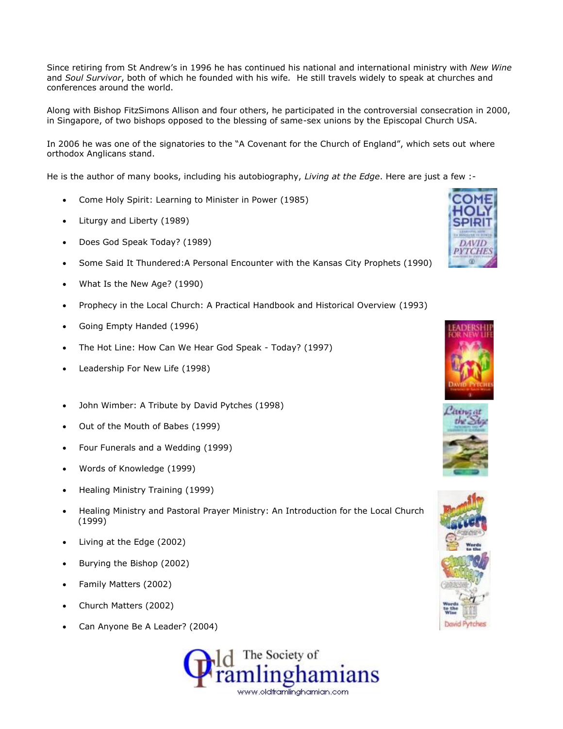Since retiring from St Andrew's in 1996 he has continued his national and international ministry with *New Wine* and *Soul Survivor*, both of which he founded with his wife*.* He still travels widely to speak at churches and conferences around the world.

Along with Bishop FitzSimons Allison and four others, he participated in the controversial consecration in 2000, in Singapore, of two bishops opposed to the blessing of same-sex unions by the Episcopal Church USA.

In 2006 he was one of the signatories to the "A Covenant for the Church of England", which sets out where orthodox Anglicans stand.

He is the author of many books, including his autobiography, *Living at the Edge*. Here are just a few :-

- Come Holy Spirit: Learning to Minister in Power (1985)
- Liturgy and Liberty (1989)
- Does God Speak Today? (1989)
- Some Said It Thundered:A Personal Encounter with the Kansas City Prophets (1990)
- What Is the New Age? (1990)
- Prophecy in the Local Church: A Practical Handbook and Historical Overview (1993)
- Going Empty Handed (1996)
- The Hot Line: How Can We Hear God Speak Today? (1997)
- Leadership For New Life (1998)
- John Wimber: A Tribute by David Pytches (1998)
- Out of the Mouth of Babes (1999)
- Four Funerals and a Wedding (1999)
- Words of Knowledge (1999)
- Healing Ministry Training (1999)
- Healing Ministry and Pastoral Prayer Ministry: An Introduction for the Local Church (1999)
- Living at the Edge (2002)
- Burying the Bishop (2002)
- Family Matters (2002)
- Church Matters (2002)
- Can Anyone Be A Leader? (2004)